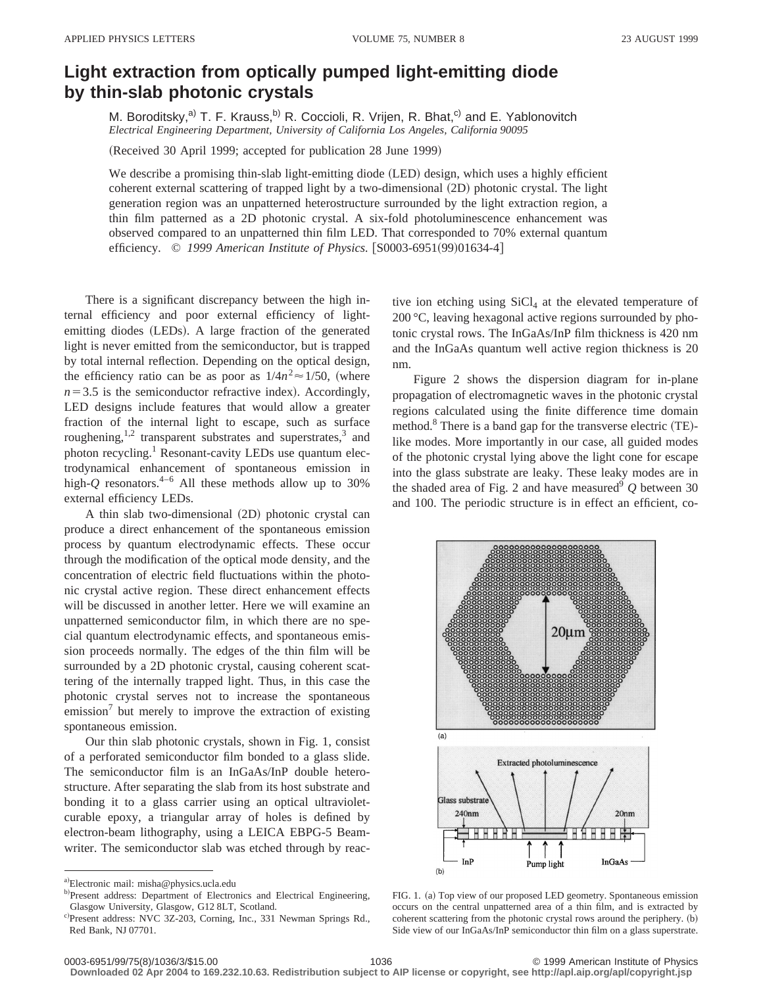## **Light extraction from optically pumped light-emitting diode by thin-slab photonic crystals**

M. Boroditsky,<sup>a)</sup> T. F. Krauss,<sup>b)</sup> R. Coccioli, R. Vrijen, R. Bhat,<sup>c)</sup> and E. Yablonovitch *Electrical Engineering Department, University of California Los Angeles, California 90095*

(Received 30 April 1999; accepted for publication 28 June 1999)

We describe a promising thin-slab light-emitting diode (LED) design, which uses a highly efficient coherent external scattering of trapped light by a two-dimensional (2D) photonic crystal. The light generation region was an unpatterned heterostructure surrounded by the light extraction region, a thin film patterned as a 2D photonic crystal. A six-fold photoluminescence enhancement was observed compared to an unpatterned thin film LED. That corresponded to 70% external quantum efficiency. © 1999 American Institute of Physics. [S0003-6951(99)01634-4]

There is a significant discrepancy between the high internal efficiency and poor external efficiency of lightemitting diodes (LEDs). A large fraction of the generated light is never emitted from the semiconductor, but is trapped by total internal reflection. Depending on the optical design, the efficiency ratio can be as poor as  $1/4n^2 \approx 1/50$ , (where  $n=3.5$  is the semiconductor refractive index). Accordingly, LED designs include features that would allow a greater fraction of the internal light to escape, such as surface roughening, $1,2$  transparent substrates and superstrates, $3$  and photon recycling.<sup>1</sup> Resonant-cavity LEDs use quantum electrodynamical enhancement of spontaneous emission in high- $Q$  resonators.<sup>4–6</sup> All these methods allow up to 30% external efficiency LEDs.

A thin slab two-dimensional (2D) photonic crystal can produce a direct enhancement of the spontaneous emission process by quantum electrodynamic effects. These occur through the modification of the optical mode density, and the concentration of electric field fluctuations within the photonic crystal active region. These direct enhancement effects will be discussed in another letter. Here we will examine an unpatterned semiconductor film, in which there are no special quantum electrodynamic effects, and spontaneous emission proceeds normally. The edges of the thin film will be surrounded by a 2D photonic crystal, causing coherent scattering of the internally trapped light. Thus, in this case the photonic crystal serves not to increase the spontaneous emission<sup>7</sup> but merely to improve the extraction of existing spontaneous emission.

Our thin slab photonic crystals, shown in Fig. 1, consist of a perforated semiconductor film bonded to a glass slide. The semiconductor film is an InGaAs/InP double heterostructure. After separating the slab from its host substrate and bonding it to a glass carrier using an optical ultravioletcurable epoxy, a triangular array of holes is defined by electron-beam lithography, using a LEICA EBPG-5 Beamwriter. The semiconductor slab was etched through by reactive ion etching using  $SiCl<sub>4</sub>$  at the elevated temperature of 200 °C, leaving hexagonal active regions surrounded by photonic crystal rows. The InGaAs/InP film thickness is 420 nm and the InGaAs quantum well active region thickness is 20 nm.

Figure 2 shows the dispersion diagram for in-plane propagation of electromagnetic waves in the photonic crystal regions calculated using the finite difference time domain method. $8$  There is a band gap for the transverse electric (TE)like modes. More importantly in our case, all guided modes of the photonic crystal lying above the light cone for escape into the glass substrate are leaky. These leaky modes are in the shaded area of Fig. 2 and have measured<sup>9</sup>  $Q$  between 30 and 100. The periodic structure is in effect an efficient, co-



FIG. 1. (a) Top view of our proposed LED geometry. Spontaneous emission occurs on the central unpatterned area of a thin film, and is extracted by coherent scattering from the photonic crystal rows around the periphery.  $(b)$ Side view of our InGaAs/InP semiconductor thin film on a glass superstrate.

a)Electronic mail: misha@physics.ucla.edu

b)Present address: Department of Electronics and Electrical Engineering, Glasgow University, Glasgow, G12 8LT, Scotland.

c)Present address: NVC 3Z-203, Corning, Inc., 331 Newman Springs Rd., Red Bank, NJ 07701.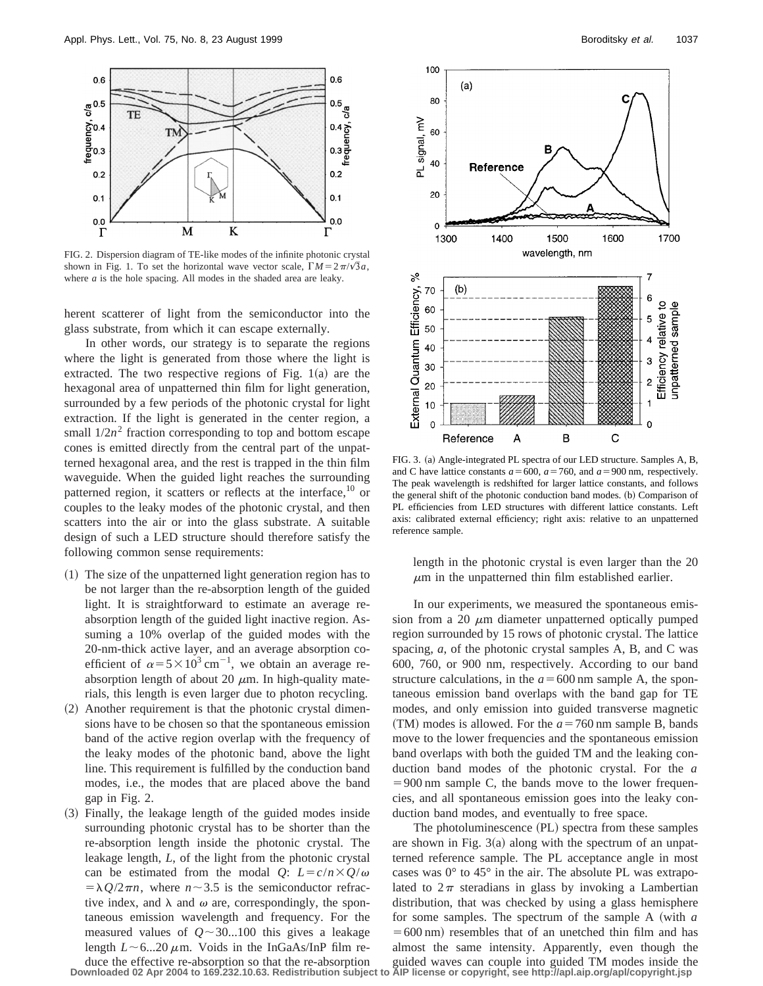

FIG. 2. Dispersion diagram of TE-like modes of the infinite photonic crystal shown in Fig. 1. To set the horizontal wave vector scale,  $\Gamma M = 2\pi/\sqrt{3}a$ , where *a* is the hole spacing. All modes in the shaded area are leaky.

herent scatterer of light from the semiconductor into the glass substrate, from which it can escape externally.

In other words, our strategy is to separate the regions where the light is generated from those where the light is extracted. The two respective regions of Fig.  $1(a)$  are the hexagonal area of unpatterned thin film for light generation, surrounded by a few periods of the photonic crystal for light extraction. If the light is generated in the center region, a small  $1/2n^2$  fraction corresponding to top and bottom escape cones is emitted directly from the central part of the unpatterned hexagonal area, and the rest is trapped in the thin film waveguide. When the guided light reaches the surrounding patterned region, it scatters or reflects at the interface,  $10$  or couples to the leaky modes of the photonic crystal, and then scatters into the air or into the glass substrate. A suitable design of such a LED structure should therefore satisfy the following common sense requirements:

- $(1)$  The size of the unpatterned light generation region has to be not larger than the re-absorption length of the guided light. It is straightforward to estimate an average reabsorption length of the guided light inactive region. Assuming a 10% overlap of the guided modes with the 20-nm-thick active layer, and an average absorption coefficient of  $\alpha = 5 \times 10^3 \text{ cm}^{-1}$ , we obtain an average reabsorption length of about 20  $\mu$ m. In high-quality materials, this length is even larger due to photon recycling.
- $(2)$  Another requirement is that the photonic crystal dimensions have to be chosen so that the spontaneous emission band of the active region overlap with the frequency of the leaky modes of the photonic band, above the light line. This requirement is fulfilled by the conduction band modes, i.e., the modes that are placed above the band gap in Fig. 2.
- ~3! Finally, the leakage length of the guided modes inside surrounding photonic crystal has to be shorter than the re-absorption length inside the photonic crystal. The leakage length, *L*, of the light from the photonic crystal can be estimated from the modal *Q*:  $L = c/n \times Q/\omega$  $= \lambda Q/2\pi n$ , where  $n \sim 3.5$  is the semiconductor refractive index, and  $\lambda$  and  $\omega$  are, correspondingly, the spontaneous emission wavelength and frequency. For the measured values of  $Q \sim 30...100$  this gives a leakage length  $L \sim 6...20 \mu$ m. Voids in the InGaAs/InP film re-
- duce the effective re-absorption so that the re-absorption **Downloaded 02 Apr 2004 to 169.232.10.63. Redistribution subject to AIP license or copyright, see http://apl.aip.org/apl/copyright.jsp**



FIG. 3. (a) Angle-integrated PL spectra of our LED structure. Samples A, B, and C have lattice constants  $a = 600$ ,  $a = 760$ , and  $a = 900$  nm, respectively. The peak wavelength is redshifted for larger lattice constants, and follows the general shift of the photonic conduction band modes. (b) Comparison of PL efficiencies from LED structures with different lattice constants. Left axis: calibrated external efficiency; right axis: relative to an unpatterned reference sample.

length in the photonic crystal is even larger than the 20  $\mu$ m in the unpatterned thin film established earlier.

In our experiments, we measured the spontaneous emission from a 20  $\mu$ m diameter unpatterned optically pumped region surrounded by 15 rows of photonic crystal. The lattice spacing, *a*, of the photonic crystal samples A, B, and C was 600, 760, or 900 nm, respectively. According to our band structure calculations, in the  $a = 600$  nm sample A, the spontaneous emission band overlaps with the band gap for TE modes, and only emission into guided transverse magnetic  $(TM)$  modes is allowed. For the  $a = 760$  nm sample B, bands move to the lower frequencies and the spontaneous emission band overlaps with both the guided TM and the leaking conduction band modes of the photonic crystal. For the *a*  $=900$  nm sample C, the bands move to the lower frequencies, and all spontaneous emission goes into the leaky conduction band modes, and eventually to free space.

The photoluminescence (PL) spectra from these samples are shown in Fig.  $3(a)$  along with the spectrum of an unpatterned reference sample. The PL acceptance angle in most cases was  $0^{\circ}$  to  $45^{\circ}$  in the air. The absolute PL was extrapolated to  $2\pi$  steradians in glass by invoking a Lambertian distribution, that was checked by using a glass hemisphere for some samples. The spectrum of the sample A (with *a*  $=600 \text{ nm}$ ) resembles that of an unetched thin film and has almost the same intensity. Apparently, even though the guided waves can couple into guided TM modes inside the